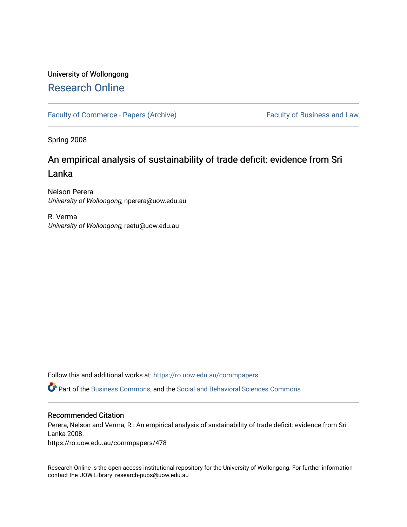# University of Wollongong [Research Online](https://ro.uow.edu.au/)

[Faculty of Commerce - Papers \(Archive\)](https://ro.uow.edu.au/commpapers) Faculty of Business and Law

Spring 2008

# An empirical analysis of sustainability of trade deficit: evidence from Sri Lanka

Nelson Perera University of Wollongong, nperera@uow.edu.au

R. Verma University of Wollongong, reetu@uow.edu.au

Follow this and additional works at: [https://ro.uow.edu.au/commpapers](https://ro.uow.edu.au/commpapers?utm_source=ro.uow.edu.au%2Fcommpapers%2F478&utm_medium=PDF&utm_campaign=PDFCoverPages) 

Part of the [Business Commons](http://network.bepress.com/hgg/discipline/622?utm_source=ro.uow.edu.au%2Fcommpapers%2F478&utm_medium=PDF&utm_campaign=PDFCoverPages), and the [Social and Behavioral Sciences Commons](http://network.bepress.com/hgg/discipline/316?utm_source=ro.uow.edu.au%2Fcommpapers%2F478&utm_medium=PDF&utm_campaign=PDFCoverPages) 

### Recommended Citation

Perera, Nelson and Verma, R.: An empirical analysis of sustainability of trade deficit: evidence from Sri Lanka 2008.

https://ro.uow.edu.au/commpapers/478

Research Online is the open access institutional repository for the University of Wollongong. For further information contact the UOW Library: research-pubs@uow.edu.au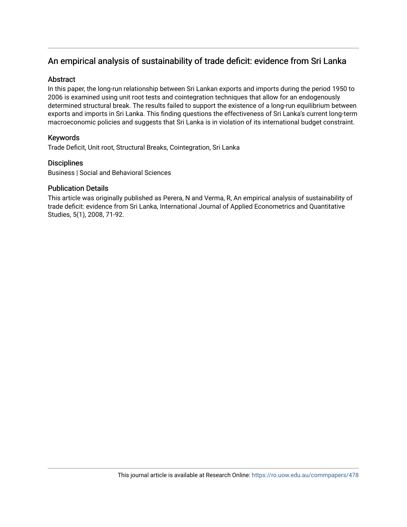## An empirical analysis of sustainability of trade deficit: evidence from Sri Lanka

## **Abstract**

In this paper, the long-run relationship between Sri Lankan exports and imports during the period 1950 to 2006 is examined using unit root tests and cointegration techniques that allow for an endogenously determined structural break. The results failed to support the existence of a long-run equilibrium between exports and imports in Sri Lanka. This finding questions the effectiveness of Sri Lanka's current long-term macroeconomic policies and suggests that Sri Lanka is in violation of its international budget constraint.

## Keywords

Trade Deficit, Unit root, Structural Breaks, Cointegration, Sri Lanka

## **Disciplines**

Business | Social and Behavioral Sciences

## Publication Details

This article was originally published as Perera, N and Verma, R, An empirical analysis of sustainability of trade deficit: evidence from Sri Lanka, International Journal of Applied Econometrics and Quantitative Studies, 5(1), 2008, 71-92.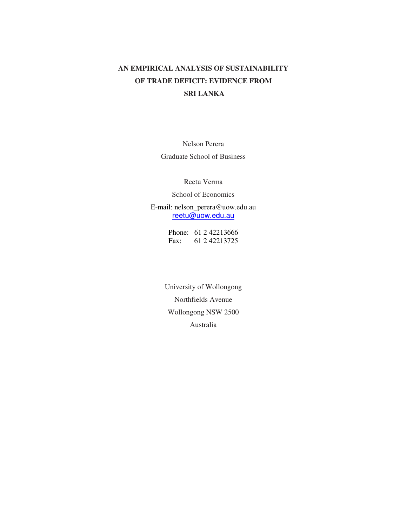## **AN EMPIRICAL ANALYSIS OF SUSTAINABILITY OF TRADE DEFICIT: EVIDENCE FROM SRI LANKA**

Nelson Perera Graduate School of Business

Reetu Verma

School of Economics

E-mail: nelson\_perera@uow.edu.au reetu@uow.edu.au

> Phone: 61 2 42213666 Fax: 61 2 42213725

University of Wollongong Northfields Avenue Wollongong NSW 2500 Australia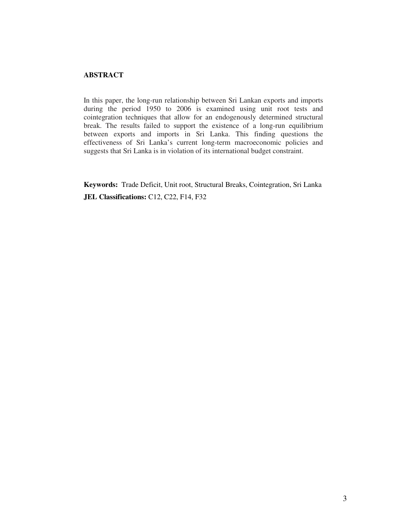## **ABSTRACT**

In this paper, the long-run relationship between Sri Lankan exports and imports during the period 1950 to 2006 is examined using unit root tests and cointegration techniques that allow for an endogenously determined structural break. The results failed to support the existence of a long-run equilibrium between exports and imports in Sri Lanka. This finding questions the effectiveness of Sri Lanka's current long-term macroeconomic policies and suggests that Sri Lanka is in violation of its international budget constraint.

**Keywords:** Trade Deficit, Unit root, Structural Breaks, Cointegration, Sri Lanka **JEL Classifications:** C12, C22, F14, F32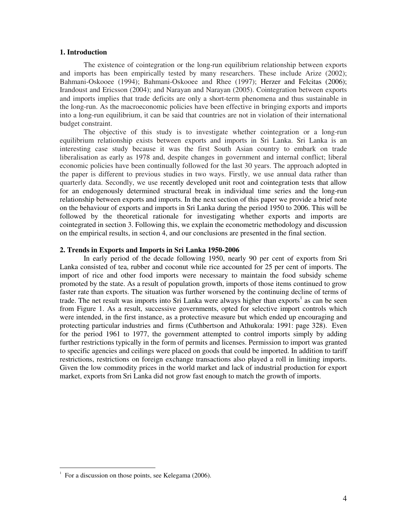#### **1. Introduction**

The existence of cointegration or the long-run equilibrium relationship between exports and imports has been empirically tested by many researchers. These include Arize (2002); Bahmani-Oskooee (1994); Bahmani-Oskooee and Rhee (1997); Herzer and Felcitas (2006); Irandoust and Ericsson (2004); and Narayan and Narayan (2005). Cointegration between exports and imports implies that trade deficits are only a short-term phenomena and thus sustainable in the long-run. As the macroeconomic policies have been effective in bringing exports and imports into a long-run equilibrium, it can be said that countries are not in violation of their international budget constraint.

The objective of this study is to investigate whether cointegration or a long-run equilibrium relationship exists between exports and imports in Sri Lanka. Sri Lanka is an interesting case study because it was the first South Asian country to embark on trade liberalisation as early as 1978 and, despite changes in government and internal conflict; liberal economic policies have been continually followed for the last 30 years. The approach adopted in the paper is different to previous studies in two ways. Firstly, we use annual data rather than quarterly data. Secondly, we use recently developed unit root and cointegration tests that allow for an endogenously determined structural break in individual time series and the long-run relationship between exports and imports. In the next section of this paper we provide a brief note on the behaviour of exports and imports in Sri Lanka during the period 1950 to 2006. This will be followed by the theoretical rationale for investigating whether exports and imports are cointegrated in section 3. Following this, we explain the econometric methodology and discussion on the empirical results, in section 4, and our conclusions are presented in the final section.

#### **2. Trends in Exports and Imports in Sri Lanka 1950-2006**

In early period of the decade following 1950, nearly 90 per cent of exports from Sri Lanka consisted of tea, rubber and coconut while rice accounted for 25 per cent of imports. The import of rice and other food imports were necessary to maintain the food subsidy scheme promoted by the state. As a result of population growth, imports of those items continued to grow faster rate than exports. The situation was further worsened by the continuing decline of terms of trade. The net result was imports into Sri Lanka were always higher than exports<sup>1</sup> as can be seen from Figure 1. As a result, successive governments, opted for selective import controls which were intended, in the first instance, as a protective measure but which ended up encouraging and protecting particular industries and firms (Cuthbertson and Athukorala: 1991: page 328). Even for the period 1961 to 1977, the government attempted to control imports simply by adding further restrictions typically in the form of permits and licenses. Permission to import was granted to specific agencies and ceilings were placed on goods that could be imported. In addition to tariff restrictions, restrictions on foreign exchange transactions also played a roll in limiting imports. Given the low commodity prices in the world market and lack of industrial production for export market, exports from Sri Lanka did not grow fast enough to match the growth of imports.

<u>.</u>

<sup>1</sup> For a discussion on those points, see Kelegama (2006).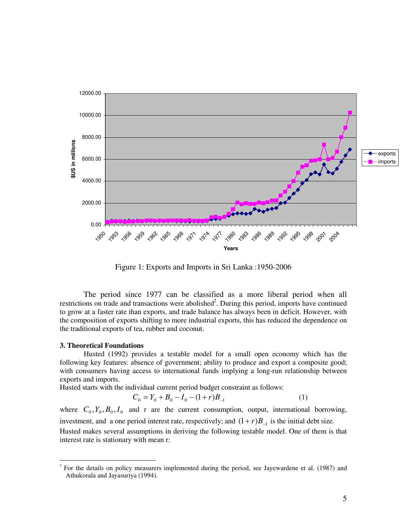

Figure 1: Exports and Imports in Sri Lanka :1950-2006

The period since 1977 can be classified as a more liberal period when all restrictions on trade and transactions were abolished<sup>2</sup>. During this period, imports have continued to grow at a faster rate than exports, and trade balance has always been in deficit. However, with the composition of exports shifting to more industrial exports, this has reduced the dependence on the traditional exports of tea, rubber and coconut.

#### **3. Theoretical Foundations**

Husted (1992) provides a testable model for a small open economy which has the following key features: absence of government; ability to produce and export a composite good; with consumers having access to international funds implying a long-run relationship between exports and imports.

Husted starts with the individual current period budget constraint as follows:

$$
C_0 = Y_0 + B_0 - I_0 - (1+r)B_{-1}
$$
 (1)

where  $C_0$ ,  $Y_0$ ,  $B_0$ ,  $I_0$  and r are the current consumption, output, international borrowing, investment, and a one period interest rate, respectively; and  $(1 + r)B_{-1}$  is the initial debt size. Husted makes several assumptions in deriving the following testable model. One of them is that interest rate is stationary with mean r:

<sup>&</sup>lt;sup>2</sup> For the details on policy measurers implemented during the period, see Jayewardene et al. (1987) and Athukorala and Jayasuriya (1994).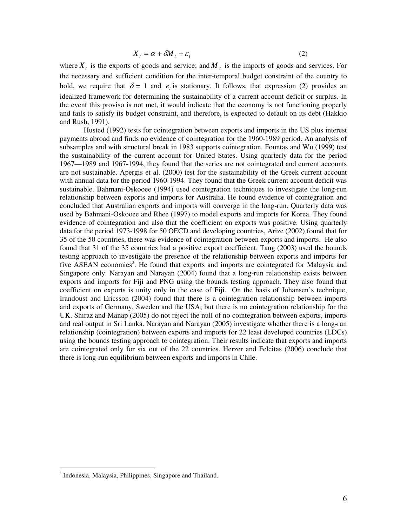$$
X_t = \alpha + \delta M_t + \varepsilon_t \tag{2}
$$

where  $X_t$  is the exports of goods and service; and  $M_t$  is the imports of goods and services. For the necessary and sufficient condition for the inter-temporal budget constraint of the country to hold, we require that  $\delta = 1$  and  $e_t$  is stationary. It follows, that expression (2) provides an idealized framework for determining the sustainability of a current account deficit or surplus. In the event this proviso is not met, it would indicate that the economy is not functioning properly and fails to satisfy its budget constraint, and therefore, is expected to default on its debt (Hakkio and Rush, 1991).

Husted (1992) tests for cointegration between exports and imports in the US plus interest payments abroad and finds no evidence of cointegration for the 1960-1989 period. An analysis of subsamples and with structural break in 1983 supports cointegration. Fountas and Wu (1999) test the sustainability of the current account for United States. Using quarterly data for the period 1967—1989 and 1967-1994, they found that the series are not cointegrated and current accounts are not sustainable. Apergis et al. (2000) test for the sustainability of the Greek current account with annual data for the period 1960-1994. They found that the Greek current account deficit was sustainable. Bahmani-Oskooee (1994) used cointegration techniques to investigate the long-run relationship between exports and imports for Australia. He found evidence of cointegration and concluded that Australian exports and imports will converge in the long-run. Quarterly data was used by Bahmani-Oskooee and Rhee (1997) to model exports and imports for Korea. They found evidence of cointegration and also that the coefficient on exports was positive. Using quarterly data for the period 1973-1998 for 50 OECD and developing countries, Arize (2002) found that for 35 of the 50 countries, there was evidence of cointegration between exports and imports. He also found that 31 of the 35 countries had a positive export coefficient. Tang (2003) used the bounds testing approach to investigate the presence of the relationship between exports and imports for five ASEAN economies<sup>3</sup>. He found that exports and imports are cointegrated for Malaysia and Singapore only. Narayan and Narayan (2004) found that a long-run relationship exists between exports and imports for Fiji and PNG using the bounds testing approach. They also found that coefficient on exports is unity only in the case of Fiji. On the basis of Johansen's technique, Irandoust and Ericsson (2004) found that there is a cointegration relationship between imports and exports of Germany, Sweden and the USA; but there is no cointegration relationship for the UK. Shiraz and Manap (2005) do not reject the null of no cointegration between exports, imports and real output in Sri Lanka. Narayan and Narayan (2005) investigate whether there is a long-run relationship (cointegration) between exports and imports for 22 least developed countries (LDCs) using the bounds testing approach to cointegration. Their results indicate that exports and imports are cointegrated only for six out of the 22 countries. Herzer and Felcitas (2006) conclude that there is long-run equilibrium between exports and imports in Chile.

 $\overline{a}$ 

<sup>&</sup>lt;sup>3</sup> Indonesia, Malaysia, Philippines, Singapore and Thailand.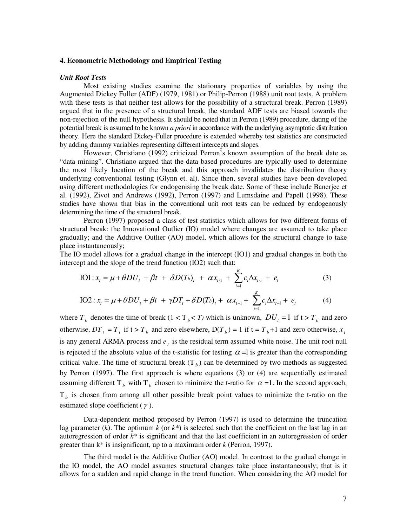#### **4. Econometric Methodology and Empirical Testing**

#### *Unit Root Tests*

Most existing studies examine the stationary properties of variables by using the Augmented Dickey Fuller (ADF) (1979, 1981) or Philip-Perron (1988) unit root tests. A problem with these tests is that neither test allows for the possibility of a structural break. Perron (1989) argued that in the presence of a structural break, the standard ADF tests are biased towards the non-rejection of the null hypothesis. It should be noted that in Perron (1989) procedure, dating of the potential break is assumed to be known *a priori* in accordance with the underlying asymptotic distribution theory. Here the standard Dickey-Fuller procedure is extended whereby test statistics are constructed by adding dummy variables representing different intercepts and slopes.

However, Christiano (1992) criticized Perron's known assumption of the break date as "data mining". Christiano argued that the data based procedures are typically used to determine the most likely location of the break and this approach invalidates the distribution theory underlying conventional testing (Glynn et. al). Since then, several studies have been developed using different methodologies for endogenising the break date. Some of these include Banerjee et al. (1992), Zivot and Andrews (1992), Perron (1997) and Lumsdaine and Papell (1998). These studies have shown that bias in the conventional unit root tests can be reduced by endogenously determining the time of the structural break.

Perron (1997) proposed a class of test statistics which allows for two different forms of structural break: the Innovational Outlier (IO) model where changes are assumed to take place gradually; and the Additive Outlier (AO) model, which allows for the structural change to take place instantaneously;

The IO model allows for a gradual change in the intercept (IO1) and gradual changes in both the intercept and the slope of the trend function (IO2) such that:

IO1: 
$$
x_t = \mu + \theta DU_t + \beta t + \delta D(T_b)_t + \alpha x_{t-1} + \sum_{i=1}^{K} c_i \Delta x_{t-i} + e_t
$$
 (3)

IO2: 
$$
x_t = \mu + \theta DU_t + \beta t + \gamma DT_t + \delta D(T_b)_t + \alpha x_{t-1} + \sum_{i=1}^{K} c_i \Delta x_{t-i} + e_t
$$
 (4)

where  $T_b$  denotes the time of break  $(1 < T_b < T)$  which is unknown,  $DU_t = 1$  if  $t > T_b$  and zero otherwise,  $DT_t = T_t$  if  $t > T_b$  and zero elsewhere,  $D(T_b) = 1$  if  $t = T_b + 1$  and zero otherwise,  $x_t$ is any general ARMA process and  $e_t$  is the residual term assumed white noise. The unit root null is rejected if the absolute value of the t-statistic for testing  $\alpha =$ l is greater than the corresponding critical value. The time of structural break  $(T_b)$  can be determined by two methods as suggested by Perron (1997). The first approach is where equations (3) or (4) are sequentially estimated assuming different T<sub>b</sub> with T<sub>b</sub> chosen to minimize the t-ratio for  $\alpha$  =1. In the second approach, T*b* is chosen from among all other possible break point values to minimize the t-ratio on the estimated slope coefficient  $(\gamma)$ .

Data-dependent method proposed by Perron (1997) is used to determine the truncation lag parameter  $(k)$ . The optimum  $k$  (or  $k^*$ ) is selected such that the coefficient on the last lag in an autoregression of order  $k^*$  is significant and that the last coefficient in an autoregression of order greater than k\* is insignificant, up to a maximum order *k* (Perron, 1997).

The third model is the Additive Outlier (AO) model. In contrast to the gradual change in the IO model, the AO model assumes structural changes take place instantaneously; that is it allows for a sudden and rapid change in the trend function. When considering the AO model for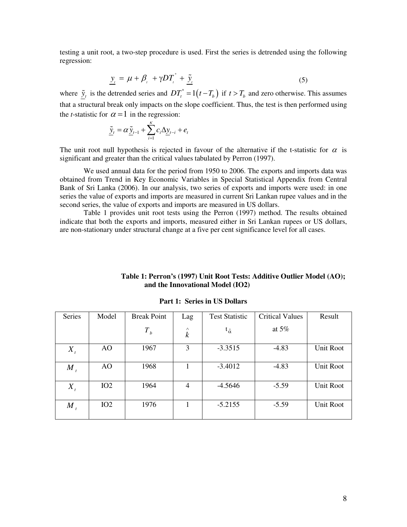testing a unit root, a two-step procedure is used. First the series is detrended using the following regression:

$$
\underline{y}_{i} = \mu + \beta_{i} + \gamma DT_{i}^{*} + \underline{\tilde{y}}_{i}
$$
\n(5)

where  $\tilde{y}_t$  is the detrended series and  $DT_t^* = 1(t - T_b)$  if  $t > T_b$  and zero otherwise. This assumes that a structural break only impacts on the slope coefficient. Thus, the test is then performed using the *t*-statistic for  $\alpha = 1$  in the regression:

$$
\underline{\tilde{y}}_t = \alpha \underline{\tilde{y}}_{t-1} + \sum_{i=1}^k c_i \Delta \underline{y}_{t-i} + e_t
$$

The unit root null hypothesis is rejected in favour of the alternative if the t-statistic for  $\alpha$  is significant and greater than the critical values tabulated by Perron (1997).

We used annual data for the period from 1950 to 2006. The exports and imports data was obtained from Trend in Key Economic Variables in Special Statistical Appendix from Central Bank of Sri Lanka (2006). In our analysis, two series of exports and imports were used: in one series the value of exports and imports are measured in current Sri Lankan rupee values and in the second series, the value of exports and imports are measured in US dollars.

Table 1 provides unit root tests using the Perron (1997) method. The results obtained indicate that both the exports and imports, measured either in Sri Lankan rupees or US dollars, are non-stationary under structural change at a five per cent significance level for all cases.

| Series  | Model | <b>Break Point</b> | Lag                          | <b>Test Statistic</b> | <b>Critical Values</b> | Result    |
|---------|-------|--------------------|------------------------------|-----------------------|------------------------|-----------|
|         |       | $T_b$              | $\wedge$<br>$\boldsymbol{k}$ | $t_{\hat{\alpha}}$    | at $5\%$               |           |
| $X_t$   | AO    | 1967               | 3                            | $-3.3515$             | $-4.83$                | Unit Root |
| $M_{t}$ | AO    | 1968               | 1                            | $-3.4012$             | $-4.83$                | Unit Root |
| $X_{t}$ | IO2   | 1964               | 4                            | $-4.5646$             | $-5.59$                | Unit Root |
| $M_{t}$ | IO2   | 1976               |                              | $-5.2155$             | $-5.59$                | Unit Root |

**Part 1: Series in US Dollars** 

 **and the Innovational Model (IO2)** 

**Table 1: Perron's (1997) Unit Root Tests: Additive Outlier Model (AO);**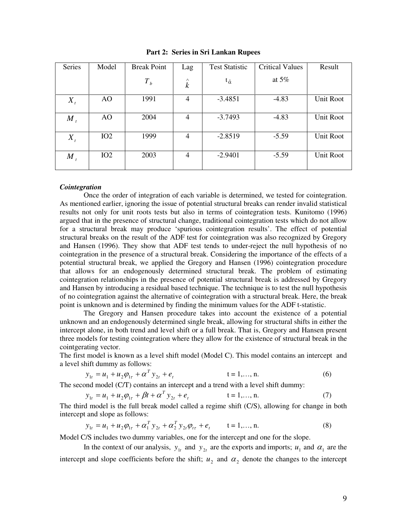| Series  | Model | <b>Break Point</b> | Lag                         | <b>Test Statistic</b> | <b>Critical Values</b> | Result    |
|---------|-------|--------------------|-----------------------------|-----------------------|------------------------|-----------|
|         |       | $T_{b}$            | $\land$<br>$\boldsymbol{k}$ | $t_{\hat{\alpha}}$    | at $5\%$               |           |
| $X_t$   | AO    | 1991               | 4                           | $-3.4851$             | $-4.83$                | Unit Root |
| $M_{t}$ | AO    | 2004               | $\overline{4}$              | $-3.7493$             | $-4.83$                | Unit Root |
| $X_t$   | IO2   | 1999               | 4                           | $-2.8519$             | $-5.59$                | Unit Root |
| $M_{t}$ | IO2   | 2003               | 4                           | $-2.9401$             | $-5.59$                | Unit Root |

**Part 2: Series in Sri Lankan Rupees** 

### *Cointegration*

Once the order of integration of each variable is determined, we tested for cointegration. As mentioned earlier, ignoring the issue of potential structural breaks can render invalid statistical results not only for unit roots tests but also in terms of cointegration tests. Kunitomo (1996) argued that in the presence of structural change, traditional cointegration tests which do not allow for a structural break may produce 'spurious cointegration results'. The effect of potential structural breaks on the result of the ADF test for cointegration was also recognized by Gregory and Hansen (1996). They show that ADF test tends to under-reject the null hypothesis of no cointegration in the presence of a structural break. Considering the importance of the effects of a potential structural break, we applied the Gregory and Hansen (1996) cointegration procedure that allows for an endogenously determined structural break. The problem of estimating cointegration relationships in the presence of potential structural break is addressed by Gregory and Hansen by introducing a residual based technique. The technique is to test the null hypothesis of no cointegration against the alternative of cointegration with a structural break. Here, the break point is unknown and is determined by finding the minimum values for the ADF t-statistic.

The Gregory and Hansen procedure takes into account the existence of a potential unknown and an endogenously determined single break, allowing for structural shifts in either the intercept alone, in both trend and level shift or a full break. That is, Gregory and Hansen present three models for testing cointegration where they allow for the existence of structural break in the cointgerating vector.

The first model is known as a level shift model (Model C). This model contains an intercept and a level shift dummy as follows:

$$
y_{1t} = u_1 + u_2 \phi_{1\tau} + \alpha^T y_{2t} + e_t \qquad \qquad t = 1,..., n. \tag{6}
$$

The second model (C/T) contains an intercept and a trend with a level shift dummy:

$$
y_{1t} = u_1 + u_2 \phi_{1t} + \beta t + \alpha^T y_{2t} + e_t \qquad \qquad t = 1,..., n. \tag{7}
$$

The third model is the full break model called a regime shift (C/S), allowing for change in both intercept and slope as follows:

$$
y_{1t} = u_1 + u_2 \phi_{1\tau} + \alpha_1^T y_{2t} + \alpha_2^T y_{2t} \phi_{t\tau} + e_t \qquad t = 1,..., n.
$$
 (8)

Model C/S includes two dummy variables, one for the intercept and one for the slope.

In the context of our analysis,  $y_{1t}$  and  $y_{2t}$  are the exports and imports;  $u_1$  and  $\alpha_1$  are the intercept and slope coefficients before the shift;  $u_2$  and  $\alpha_2$  denote the changes to the intercept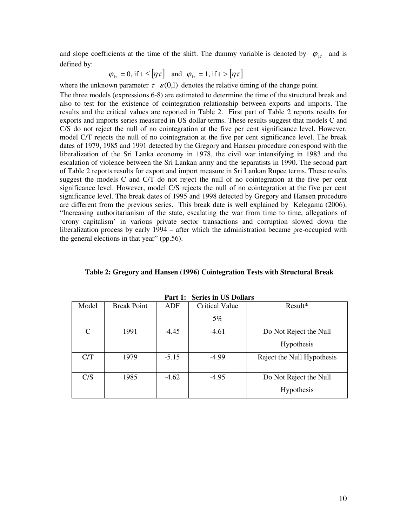and slope coefficients at the time of the shift. The dummy variable is denoted by  $\varphi_{1\tau}$  and is defined by:

$$
\varphi_{1\tau} = 0
$$
, if  $t \leq [\eta \tau]$  and  $\varphi_{1\tau} = 1$ , if  $t > [\eta \tau]$ 

where the unknown parameter  $\tau \varepsilon (0,1)$  denotes the relative timing of the change point.

The three models (expressions 6-8) are estimated to determine the time of the structural break and also to test for the existence of cointegration relationship between exports and imports. The results and the critical values are reported in Table 2. First part of Table 2 reports results for exports and imports series measured in US dollar terms. These results suggest that models C and C/S do not reject the null of no cointegration at the five per cent significance level. However, model C/T rejects the null of no cointegration at the five per cent significance level. The break dates of 1979, 1985 and 1991 detected by the Gregory and Hansen procedure correspond with the liberalization of the Sri Lanka economy in 1978, the civil war intensifying in 1983 and the escalation of violence between the Sri Lankan army and the separatists in 1990. The second part of Table 2 reports results for export and import measure in Sri Lankan Rupee terms. These results suggest the models C and C/T do not reject the null of no cointegration at the five per cent significance level. However, model C/S rejects the null of no cointegration at the five per cent significance level. The break dates of 1995 and 1998 detected by Gregory and Hansen procedure are different from the previous series. This break date is well explained by Kelegama (2006), "Increasing authoritarianism of the state, escalating the war from time to time, allegations of 'crony capitalism' in various private sector transactions and corruption slowed down the liberalization process by early 1994 – after which the administration became pre-occupied with the general elections in that year" (pp.56).

| <b>Series in US Dollars</b><br>Part 1: |                    |         |                       |                            |  |  |
|----------------------------------------|--------------------|---------|-----------------------|----------------------------|--|--|
| Model                                  | <b>Break Point</b> | ADF     | <b>Critical Value</b> | $Result*$                  |  |  |
|                                        |                    |         | 5%                    |                            |  |  |
| $\mathsf{C}$                           | 1991               | $-4.45$ | $-4.61$               | Do Not Reject the Null     |  |  |
|                                        |                    |         |                       | <b>Hypothesis</b>          |  |  |
| C/T                                    | 1979               | $-5.15$ | $-4.99$               | Reject the Null Hypothesis |  |  |
| C/S                                    | 1985               | $-4.62$ | $-4.95$               | Do Not Reject the Null     |  |  |
|                                        |                    |         |                       | Hypothesis                 |  |  |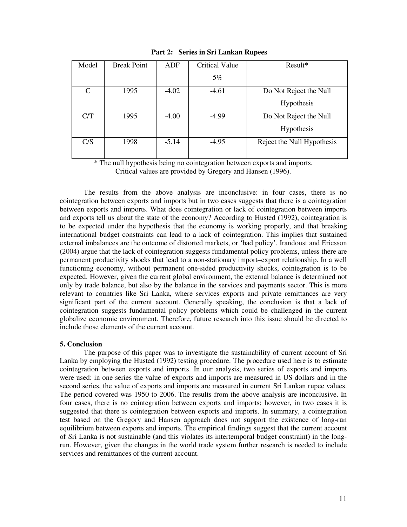| Model | <b>Break Point</b> | ADF     | <b>Critical Value</b> | Result*                    |
|-------|--------------------|---------|-----------------------|----------------------------|
|       |                    |         | $5\%$                 |                            |
| C     | 1995               | $-4.02$ | $-4.61$               | Do Not Reject the Null     |
|       |                    |         |                       | Hypothesis                 |
| C/T   | 1995               | $-4.00$ | $-4.99$               | Do Not Reject the Null     |
|       |                    |         |                       | Hypothesis                 |
| C/S   | 1998               | $-5.14$ | $-4.95$               | Reject the Null Hypothesis |
|       |                    |         |                       |                            |

**Part 2: Series in Sri Lankan Rupees** 

\* The null hypothesis being no cointegration between exports and imports. Critical values are provided by Gregory and Hansen (1996).

The results from the above analysis are inconclusive: in four cases, there is no cointegration between exports and imports but in two cases suggests that there is a cointegration between exports and imports. What does cointegration or lack of cointegration between imports and exports tell us about the state of the economy? According to Husted (1992), cointegration is to be expected under the hypothesis that the economy is working properly, and that breaking international budget constraints can lead to a lack of cointegration. This implies that sustained external imbalances are the outcome of distorted markets, or 'bad policy'. Irandoust and Ericsson (2004) argue that the lack of cointegration suggests fundamental policy problems, unless there are permanent productivity shocks that lead to a non-stationary import–export relationship. In a well functioning economy, without permanent one-sided productivity shocks, cointegration is to be expected. However, given the current global environment, the external balance is determined not only by trade balance, but also by the balance in the services and payments sector. This is more relevant to countries like Sri Lanka, where services exports and private remittances are very significant part of the current account. Generally speaking, the conclusion is that a lack of cointegration suggests fundamental policy problems which could be challenged in the current globalize economic environment. Therefore, future research into this issue should be directed to include those elements of the current account.

#### **5. Conclusion**

 The purpose of this paper was to investigate the sustainability of current account of Sri Lanka by employing the Husted (1992) testing procedure. The procedure used here is to estimate cointegration between exports and imports. In our analysis, two series of exports and imports were used: in one series the value of exports and imports are measured in US dollars and in the second series, the value of exports and imports are measured in current Sri Lankan rupee values. The period covered was 1950 to 2006. The results from the above analysis are inconclusive. In four cases, there is no cointegration between exports and imports; however, in two cases it is suggested that there is cointegration between exports and imports. In summary, a cointegration test based on the Gregory and Hansen approach does not support the existence of long-run equilibrium between exports and imports. The empirical findings suggest that the current account of Sri Lanka is not sustainable (and this violates its intertemporal budget constraint) in the longrun. However, given the changes in the world trade system further research is needed to include services and remittances of the current account.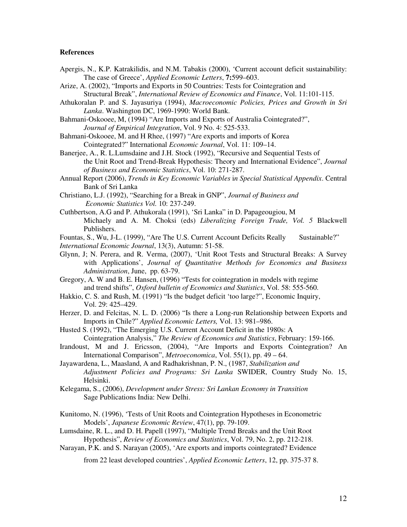#### **References**

- Apergis, N., K.P. Katrakilidis, and N.M. Tabakis (2000), 'Current account deficit sustainability: The case of Greece', *Applied Economic Letters*, **7:**599–603.
- Arize, A. (2002), "Imports and Exports in 50 Countries: Tests for Cointegration and Structural Break", *International Review of Economics and Finance*, Vol. 11:101-115.
- Athukoralan P. and S. Jayasuriya (1994), *Macroeconomic Policies, Prices and Growth in Sri Lanka*. Washington DC, 1969-1990: World Bank.
- Bahmani-Oskooee, M, (1994) "Are Imports and Exports of Australia Cointegrated?", *Journal of Empirical Integration*, Vol. 9 No. 4: 525-533.
- Bahmani-Oskooee, M. and H Rhee, (1997) "Are exports and imports of Korea Cointegrated?" International *Economic Journal*, Vol. 11: 109–14.
- Banerjee, A., R. L.Lumsdaine and J.H. Stock (1992), "Recursive and Sequential Tests of the Unit Root and Trend-Break Hypothesis: Theory and International Evidence", *Journal of Business and Economic Statistics*, Vol. 10: 271-287.
- Annual Report (2006), *Trends in Key Economic Variables* i*n Special Statistical Appendix*. Central Bank of Sri Lanka
- Christiano, L.J. (1992), "Searching for a Break in GNP", *Journal of Business and Economic Statistics Vol.* 10: 237-249.
- Cuthbertson, A.G and P. Athukorala (1991), 'Sri Lanka" in D. Papageougiou, M Michaely and A. M. Choksi (eds) *Liberalizing Foreign Trade, Vol. 5* Blackwell Publishers.
- Fountas, S., Wu, J-L. (1999), "Are The U.S. Current Account Deficits Really Sustainable?" *International Economic Journal*, 13(3), Autumn: 51-58.
- Glynn, J; N. Perera, and R. Verma, (2007), 'Unit Root Tests and Structural Breaks: A Survey with Applications', *Journal of Quantitative Methods for Economics and Business Administration*, June, pp. 63-79.
- Gregory, A. W and B. E. Hansen, (1996) "Tests for cointegration in models with regime and trend shifts", *Oxford bulletin of Economics and Statistics*, Vol. 58: 555-560.
- Hakkio, C. S. and Rush, M. (1991) "Is the budget deficit 'too large?", Economic Inquiry, Vol. 29: 425–429.
- Herzer, D. and Felcitas, N. L. D. (2006) "Is there a Long-run Relationship between Exports and Imports in Chile?" *Applied Economic Letters,* Vol. 13: 981–986.
- Husted S. (1992), "The Emerging U.S. Current Account Deficit in the 1980s: A Cointegration Analysis," *The Review of Economics and Statistics*, February: 159-166.
- Irandoust, M and J. Ericsson, (2004), "Are Imports and Exports Cointegration? An International Comparison", *Metroeconomica*, Vol. 55(1), pp. 49 – 64.
- Jayawardena, L., Maasland, A and Radhakrishnan, P. N., (1987, *Stabilization and Adjustment Policies and Programs: Sri Lanka* SWIDER, Country Study No. 15, Helsinki.
- Kelegama, S., (2006), *Development under Stress: Sri Lankan Economy in Transition* Sage Publications India: New Delhi.
- Kunitomo, N. (1996), 'Tests of Unit Roots and Cointegration Hypotheses in Econometric Models', *Japanese Economic Review*, 47(1), pp. 79-109.
- Lumsdaine, R. L., and D. H. Papell (1997), "Multiple Trend Breaks and the Unit Root Hypothesis", *Review of Economics and Statistics*, Vol. 79, No. 2, pp. 212-218.
- Narayan, P.K. and S. Narayan (2005), 'Are exports and imports cointegrated? Evidence

from 22 least developed countries', *Applied Economic Letters*, 12, pp. 375-37 8.